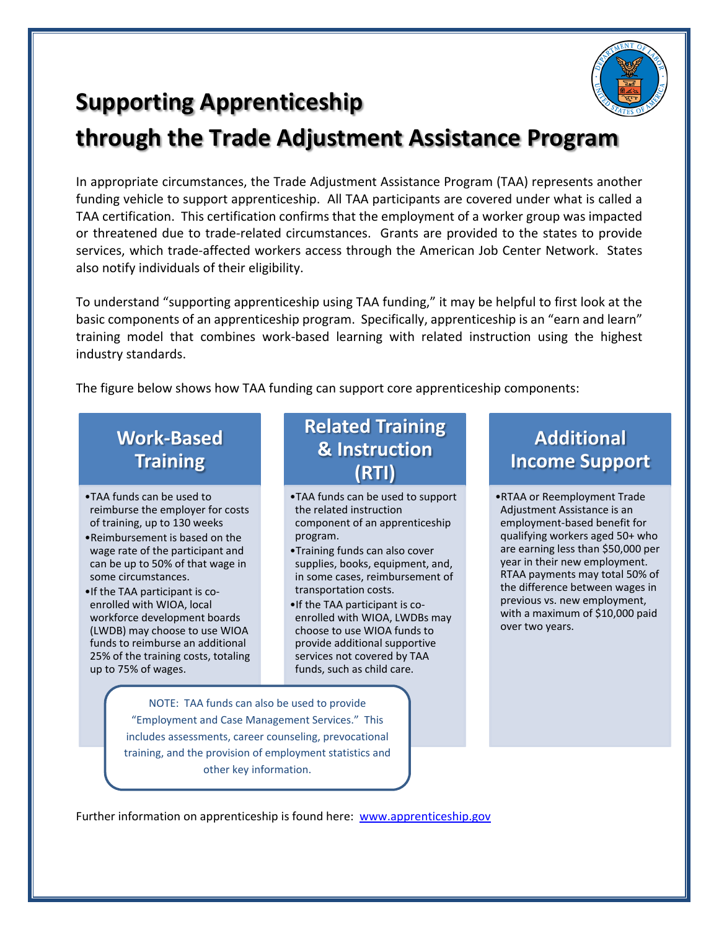

# **Supporting Apprenticeship**

## **through the Trade Adjustment Assistance Program**

In appropriate circumstances, the Trade Adjustment Assistance Program (TAA) represents another funding vehicle to support apprenticeship. All TAA participants are covered under what is called a TAA certification. This certification confirms that the employment of a worker group was impacted or threatened due to trade-related circumstances. Grants are provided to the states to provide services, which trade-affected workers access through the American Job Center Network. States also notify individuals of their eligibility.

To understand "supporting apprenticeship using TAA funding," it may be helpful to first look at the basic components of an apprenticeship program. Specifically, apprenticeship is an "earn and learn" training model that combines work-based learning with related instruction using the highest industry standards.

The figure below shows how TAA funding can support core apprenticeship components:

## **Work-Based Training**

- •TAA funds can be used to reimburse the employer for costs of training, up to 130 weeks
- •Reimbursement is based on the wage rate of the participant and can be up to 50% of that wage in some circumstances.
- •If the TAA participant is coenrolled with WIOA, local workforce development boards (LWDB) may choose to use WIOA funds to reimburse an additional 25% of the training costs, totaling up to 75% of wages.

### **Related Training & Instruction (RTI)**

- •TAA funds can be used to support the related instruction component of an apprenticeship program.
- •Training funds can also cover supplies, books, equipment, and, in some cases, reimbursement of transportation costs.
- •If the TAA participant is coenrolled with WIOA, LWDBs may choose to use WIOA funds to provide additional supportive services not covered by TAA funds, such as child care.

#### NOTE: TAA funds can also be used to provide "Employment and Case Management Services." This includes assessments, career counseling, prevocational training, and the provision of employment statistics and other key information.

## **Additional Income Support**

•RTAA or Reemployment Trade Adjustment Assistance is an employment-based benefit for qualifying workers aged 50+ who are earning less than \$50,000 per year in their new employment. RTAA payments may total 50% of the difference between wages in previous vs. new employment, with a maximum of \$10,000 paid over two years.

Further information on apprenticeship is found here: [www.apprenticeship.gov](http://www.apprenticeship.gov/)